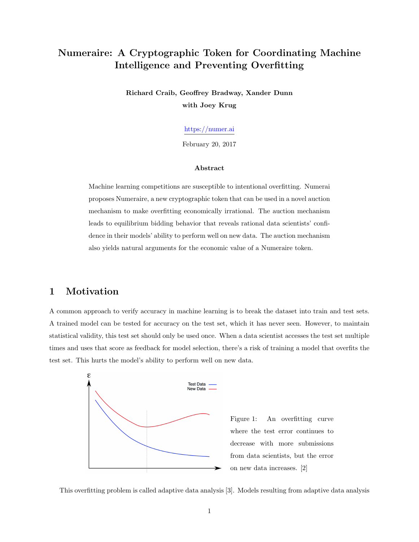# Numeraire: A Cryptographic Token for Coordinating Machine Intelligence and Preventing Overfitting

Richard Craib, Geoffrey Bradway, Xander Dunn with Joey Krug

<https://numer.ai>

February 20, 2017

#### Abstract

Machine learning competitions are susceptible to intentional overfitting. Numerai proposes Numeraire, a new cryptographic token that can be used in a novel auction mechanism to make overfitting economically irrational. The auction mechanism leads to equilibrium bidding behavior that reveals rational data scientists' confidence in their models' ability to perform well on new data. The auction mechanism also yields natural arguments for the economic value of a Numeraire token.

## 1 Motivation

A common approach to verify accuracy in machine learning is to break the dataset into train and test sets. A trained model can be tested for accuracy on the test set, which it has never seen. However, to maintain statistical validity, this test set should only be used once. When a data scientist accesses the test set multiple times and uses that score as feedback for model selection, there's a risk of training a model that overfits the test set. This hurts the model's ability to perform well on new data.



This overfitting problem is called adaptive data analysis [\[3\]](#page-4-1). Models resulting from adaptive data analysis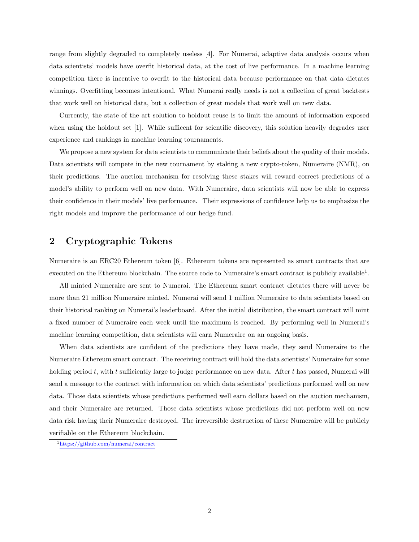range from slightly degraded to completely useless [\[4\]](#page-4-2). For Numerai, adaptive data analysis occurs when data scientists' models have overfit historical data, at the cost of live performance. In a machine learning competition there is incentive to overfit to the historical data because performance on that data dictates winnings. Overfitting becomes intentional. What Numerai really needs is not a collection of great backtests that work well on historical data, but a collection of great models that work well on new data.

Currently, the state of the art solution to holdout reuse is to limit the amount of information exposed when using the holdout set  $[1]$ . While sufficent for scientific discovery, this solution heavily degrades user experience and rankings in machine learning tournaments.

We propose a new system for data scientists to communicate their beliefs about the quality of their models. Data scientists will compete in the new tournament by staking a new crypto-token, Numeraire (NMR), on their predictions. The auction mechanism for resolving these stakes will reward correct predictions of a model's ability to perform well on new data. With Numeraire, data scientists will now be able to express their confidence in their models' live performance. Their expressions of confidence help us to emphasize the right models and improve the performance of our hedge fund.

### 2 Cryptographic Tokens

Numeraire is an ERC20 Ethereum token [\[6\]](#page-4-4). Ethereum tokens are represented as smart contracts that are executed on the Ethereum blockchain. The source code to Numeraire's smart contract is publicly available<sup>[1](#page-1-0)</sup>.

All minted Numeraire are sent to Numerai. The Ethereum smart contract dictates there will never be more than 21 million Numeraire minted. Numerai will send 1 million Numeraire to data scientists based on their historical ranking on Numerai's leaderboard. After the initial distribution, the smart contract will mint a fixed number of Numeraire each week until the maximum is reached. By performing well in Numerai's machine learning competition, data scientists will earn Numeraire on an ongoing basis.

When data scientists are confident of the predictions they have made, they send Numeraire to the Numeraire Ethereum smart contract. The receiving contract will hold the data scientists' Numeraire for some holding period  $t$ , with  $t$  sufficiently large to judge performance on new data. After  $t$  has passed, Numerai will send a message to the contract with information on which data scientists' predictions performed well on new data. Those data scientists whose predictions performed well earn dollars based on the auction mechanism, and their Numeraire are returned. Those data scientists whose predictions did not perform well on new data risk having their Numeraire destroyed. The irreversible destruction of these Numeraire will be publicly verifiable on the Ethereum blockchain.

<span id="page-1-0"></span><sup>1</sup><https://github.com/numerai/contract>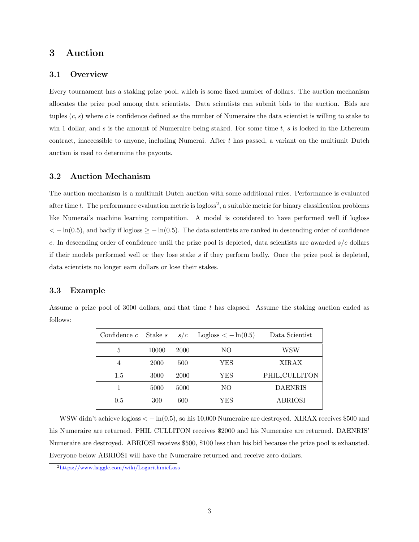### 3 Auction

#### 3.1 Overview

Every tournament has a staking prize pool, which is some fixed number of dollars. The auction mechanism allocates the prize pool among data scientists. Data scientists can submit bids to the auction. Bids are tuples (*c, s*) where *c* is confidence defined as the number of Numeraire the data scientist is willing to stake to win 1 dollar, and *s* is the amount of Numeraire being staked. For some time *t*, *s* is locked in the Ethereum contract, inaccessible to anyone, including Numerai. After *t* has passed, a variant on the multiunit Dutch auction is used to determine the payouts.

#### 3.2 Auction Mechanism

The auction mechanism is a multiunit Dutch auction with some additional rules. Performance is evaluated after time  $t$ . The performance evaluation metric is logloss<sup>[2](#page-2-0)</sup>, a suitable metric for binary classification problems like Numerai's machine learning competition. A model is considered to have performed well if logloss  $<-$  ln(0*.*5), and badly if logloss  $\geq -\ln(0.5)$ . The data scientists are ranked in descending order of confidence *c*. In descending order of confidence until the prize pool is depleted, data scientists are awarded *s/c* dollars if their models performed well or they lose stake *s* if they perform badly. Once the prize pool is depleted, data scientists no longer earn dollars or lose their stakes.

#### 3.3 Example

Assume a prize pool of 3000 dollars, and that time *t* has elapsed. Assume the staking auction ended as follows:

| Confidence $c$ | Stake s | s/c  | Logloss $\langle -\ln(0.5)\rangle$ | Data Scientist |
|----------------|---------|------|------------------------------------|----------------|
| 5              | 10000   | 2000 | NO                                 | WSW            |
| $\overline{4}$ | 2000    | 500  | YES                                | XIRAX          |
| 1.5            | 3000    | 2000 | YES                                | PHIL_CULLITON  |
|                | 5000    | 5000 | NO                                 | <b>DAENRIS</b> |
| 0.5            | 300     | 600  | YES                                | <b>ABRIOSI</b> |

WSW didn't achieve logloss  $\langle -\ln(0.5), \text{ so his } 10,000$  Numeraire are destroyed. XIRAX receives \$500 and his Numeraire are returned. PHIL CULLITON receives \$2000 and his Numeraire are returned. DAENRIS' Numeraire are destroyed. ABRIOSI receives \$500, \$100 less than his bid because the prize pool is exhausted. Everyone below ABRIOSI will have the Numeraire returned and receive zero dollars.

<span id="page-2-0"></span><sup>2</sup><https://www.kaggle.com/wiki/LogarithmicLoss>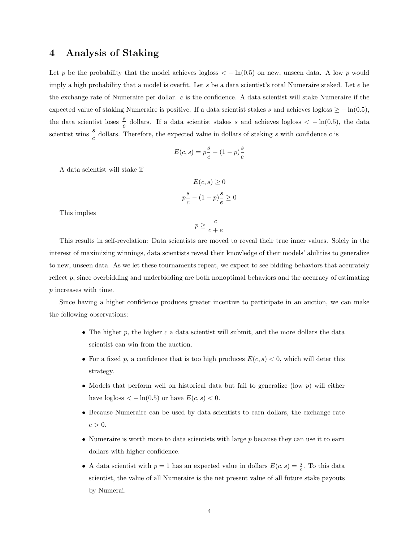### 4 Analysis of Staking

Let p be the probability that the model achieves logloss  $\langle -\ln(0.5) \rangle$  on new, unseen data. A low p would imply a high probability that a model is overfit. Let *s* be a data scientist's total Numeraire staked. Let *e* be the exchange rate of Numeraire per dollar. *c* is the confidence. A data scientist will stake Numeraire if the expected value of staking Numeraire is positive. If a data scientist stakes *s* and achieves logloss  $\geq -\ln(0.5)$ , the data scientist loses  $\frac{s}{e}$  dollars. If a data scientist stakes *s* and achieves logloss  $\langle -\ln(0.5),\right)$  the data scientist wins  $\frac{s}{c}$  dollars. Therefore, the expected value in dollars of staking *s* with confidence *c* is

$$
E(c, s) = p\frac{s}{c} - (1 - p)\frac{s}{e}
$$

A data scientist will stake if

$$
E(c, s) \ge 0
$$

$$
p\frac{s}{c} - (1 - p)\frac{s}{e} \ge 0
$$

This implies

$$
p \ge \frac{c}{c+e}
$$

This results in self-revelation: Data scientists are moved to reveal their true inner values. Solely in the interest of maximizing winnings, data scientists reveal their knowledge of their models' abilities to generalize to new, unseen data. As we let these tournaments repeat, we expect to see bidding behaviors that accurately reflect *p*, since overbidding and underbidding are both nonoptimal behaviors and the accuracy of estimating *p* increases with time.

Since having a higher confidence produces greater incentive to participate in an auction, we can make the following observations:

- The higher *p*, the higher *c* a data scientist will submit, and the more dollars the data scientist can win from the auction.
- For a fixed *p*, a confidence that is too high produces  $E(c, s) < 0$ , which will deter this strategy.
- Models that perform well on historical data but fail to generalize (low *p*) will either have logloss  $\langle -\ln(0.5) \text{ or have } E(c, s) \langle 0$ .
- Because Numeraire can be used by data scientists to earn dollars, the exchange rate  $e > 0$ .
- Numeraire is worth more to data scientists with large p because they can use it to earn dollars with higher confidence.
- A data scientist with  $p = 1$  has an expected value in dollars  $E(c, s) = \frac{s}{c}$ . To this data scientist, the value of all Numeraire is the net present value of all future stake payouts by Numerai.